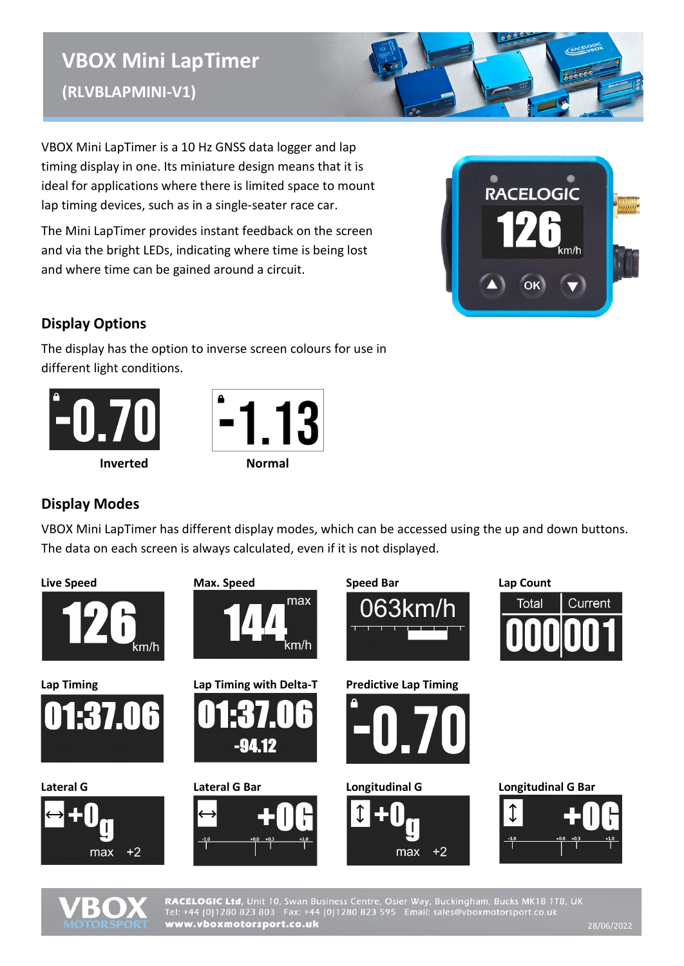# **VBOX Mini LapTimer (RLVBLAPMINI-V1)**

VBOX Mini LapTimer is a 10 Hz GNSS data logger and lap timing display in one. Its miniature design means that it is ideal for applications where there is limited space to mount lap timing devices, such as in a single-seater race car.

The Mini LapTimer provides instant feedback on the screen and via the bright LEDs, indicating where time is being lost and where time can be gained around a circuit.



### **Display Options**

The display has the option to inverse screen colours for use in different light conditions.





## **Display Modes**

VBOX Mini LapTimer has different display modes, which can be accessed using the up and down buttons. The data on each screen is always calculated, even if it is not displayed.





RACELOGIC Ltd, Unit 10, Swan Business Centre, Osier Way, Buckingham, Bucks MK18 1TB, UK<br>Tel: +44 (0)1280 823 803 Fax: +44 (0)1280 823 595 Email: sales@vboxmotorsport.co.uk www.vboxmotorsport.co.uk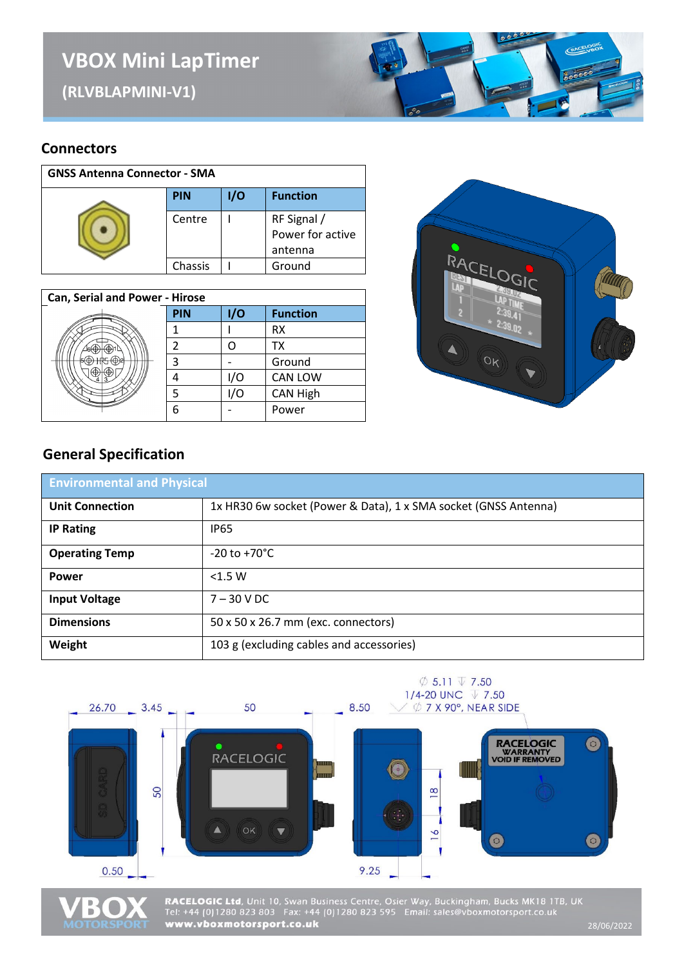# **VBOX Mini LapTimer**

**(RLVBLAPMINI-V1)** 



#### **Connectors**

| <b>GNSS Antenna Connector - SMA</b> |            |     |                                            |
|-------------------------------------|------------|-----|--------------------------------------------|
|                                     | <b>PIN</b> | 1/O | <b>Function</b>                            |
|                                     | Centre     |     | RF Signal /<br>Power for active<br>antenna |
|                                     | Chassis    |     | Ground                                     |

| <b>Can, Serial and Power - Hirose</b> |            |     |                 |
|---------------------------------------|------------|-----|-----------------|
|                                       | <b>PIN</b> | I/O | <b>Function</b> |
|                                       |            |     | RX              |
|                                       |            |     | <b>TX</b>       |
|                                       | 2          |     | Ground          |
|                                       |            | /0  | <b>CAN LOW</b>  |
|                                       |            | 1/O | <b>CAN High</b> |
|                                       | 6          |     | Power           |



#### **General Specification**

| <b>Environmental and Physical</b> |                                                                 |  |
|-----------------------------------|-----------------------------------------------------------------|--|
| <b>Unit Connection</b>            | 1x HR30 6w socket (Power & Data), 1 x SMA socket (GNSS Antenna) |  |
| <b>IP Rating</b>                  | <b>IP65</b>                                                     |  |
| <b>Operating Temp</b>             | $-20$ to $+70^{\circ}$ C                                        |  |
| <b>Power</b>                      | $<$ 1.5 W                                                       |  |
| <b>Input Voltage</b>              | $7 - 30$ V DC                                                   |  |
| <b>Dimensions</b>                 | 50 x 50 x 26.7 mm (exc. connectors)                             |  |
| Weight                            | 103 g (excluding cables and accessories)                        |  |





RACELOGIC Ltd, Unit 10, Swan Business Centre, Osier Way, Buckingham, Bucks MK18 1TB, UK<br>Tel: +44 (0)1280 823 803 Fax: +44 (0)1280 823 595 Email: sales@vboxmotorsport.co.uk<br>www.vboxmotorsport.co.uk